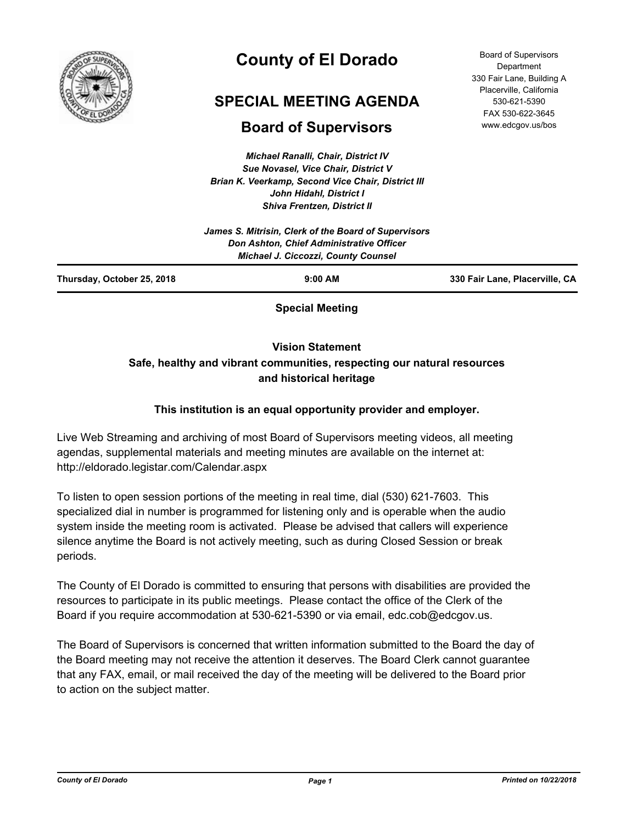

# **County of El Dorado**

## **SPECIAL MEETING AGENDA**

## **Board of Supervisors**

*Michael Ranalli, Chair, District IV Sue Novasel, Vice Chair, District V Brian K. Veerkamp, Second Vice Chair, District III John Hidahl, District I Shiva Frentzen, District II*

Board of Supervisors Department 330 Fair Lane, Building A Placerville, California 530-621-5390 FAX 530-622-3645 www.edcgov.us/bos

| Thursday, October 25, 2018 | $9:00$ AM                                                                              | 330 Fair Lane, Placerville, CA |
|----------------------------|----------------------------------------------------------------------------------------|--------------------------------|
|                            | Don Ashton, Chief Administrative Officer<br><b>Michael J. Ciccozzi, County Counsel</b> |                                |
|                            | James S. Mitrisin, Clerk of the Board of Supervisors                                   |                                |

**Special Meeting**

**Vision Statement** 

### **Safe, healthy and vibrant communities, respecting our natural resources and historical heritage**

### **This institution is an equal opportunity provider and employer.**

Live Web Streaming and archiving of most Board of Supervisors meeting videos, all meeting agendas, supplemental materials and meeting minutes are available on the internet at: http://eldorado.legistar.com/Calendar.aspx

To listen to open session portions of the meeting in real time, dial (530) 621-7603. This specialized dial in number is programmed for listening only and is operable when the audio system inside the meeting room is activated. Please be advised that callers will experience silence anytime the Board is not actively meeting, such as during Closed Session or break periods.

The County of El Dorado is committed to ensuring that persons with disabilities are provided the resources to participate in its public meetings. Please contact the office of the Clerk of the Board if you require accommodation at 530-621-5390 or via email, edc.cob@edcgov.us.

The Board of Supervisors is concerned that written information submitted to the Board the day of the Board meeting may not receive the attention it deserves. The Board Clerk cannot guarantee that any FAX, email, or mail received the day of the meeting will be delivered to the Board prior to action on the subject matter.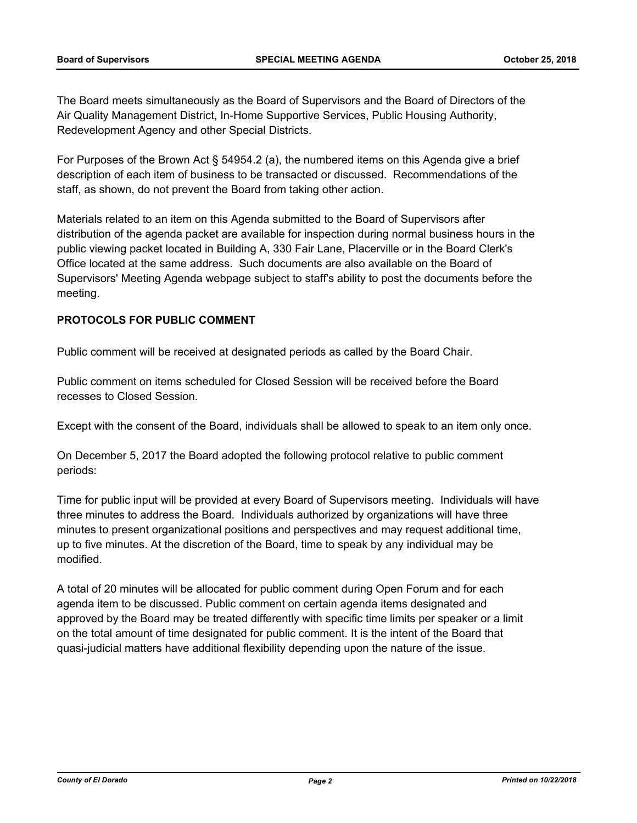The Board meets simultaneously as the Board of Supervisors and the Board of Directors of the Air Quality Management District, In-Home Supportive Services, Public Housing Authority, Redevelopment Agency and other Special Districts.

For Purposes of the Brown Act § 54954.2 (a), the numbered items on this Agenda give a brief description of each item of business to be transacted or discussed. Recommendations of the staff, as shown, do not prevent the Board from taking other action.

Materials related to an item on this Agenda submitted to the Board of Supervisors after distribution of the agenda packet are available for inspection during normal business hours in the public viewing packet located in Building A, 330 Fair Lane, Placerville or in the Board Clerk's Office located at the same address. Such documents are also available on the Board of Supervisors' Meeting Agenda webpage subject to staff's ability to post the documents before the meeting.

#### **PROTOCOLS FOR PUBLIC COMMENT**

Public comment will be received at designated periods as called by the Board Chair.

Public comment on items scheduled for Closed Session will be received before the Board recesses to Closed Session.

Except with the consent of the Board, individuals shall be allowed to speak to an item only once.

On December 5, 2017 the Board adopted the following protocol relative to public comment periods:

Time for public input will be provided at every Board of Supervisors meeting. Individuals will have three minutes to address the Board. Individuals authorized by organizations will have three minutes to present organizational positions and perspectives and may request additional time, up to five minutes. At the discretion of the Board, time to speak by any individual may be modified.

A total of 20 minutes will be allocated for public comment during Open Forum and for each agenda item to be discussed. Public comment on certain agenda items designated and approved by the Board may be treated differently with specific time limits per speaker or a limit on the total amount of time designated for public comment. It is the intent of the Board that quasi-judicial matters have additional flexibility depending upon the nature of the issue.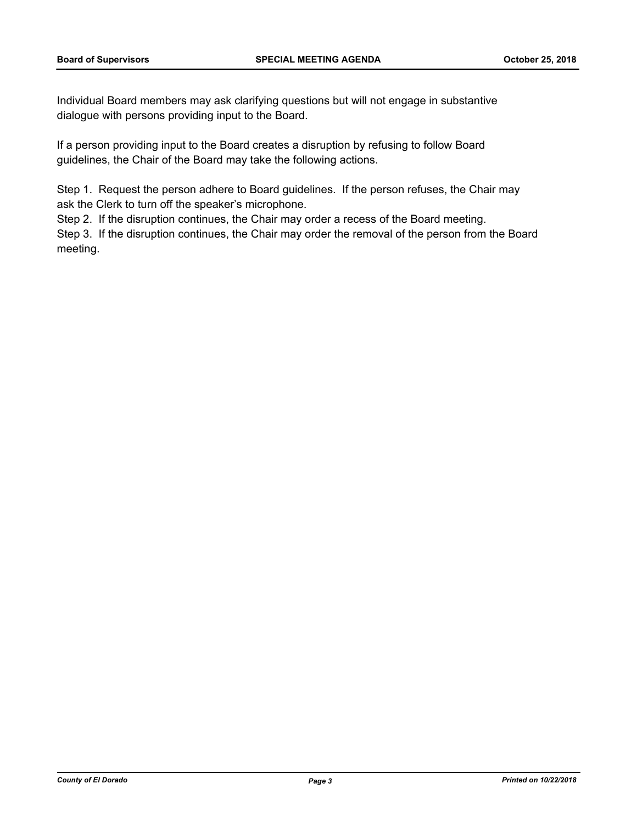Individual Board members may ask clarifying questions but will not engage in substantive dialogue with persons providing input to the Board.

If a person providing input to the Board creates a disruption by refusing to follow Board guidelines, the Chair of the Board may take the following actions.

Step 1. Request the person adhere to Board guidelines. If the person refuses, the Chair may ask the Clerk to turn off the speaker's microphone.

Step 2. If the disruption continues, the Chair may order a recess of the Board meeting.

Step 3. If the disruption continues, the Chair may order the removal of the person from the Board meeting.